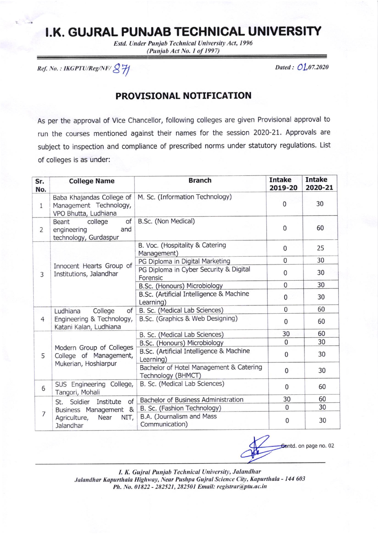## I.K. GUJRAL PUNJAB TECHNICAL UNIVERSITY

Estd. Under Punjab Technical University Act, 1996 (Punjab Act No. 1 of 1997)

Ref. No.: IKGPTU/Reg/NF/ & H

Dated: 01.07.2020

## PROVISIONAL NOTIFICATION

As per the approval of Vice Chancellor, following colleges are given Provisional approval to run the courses mentioned against their names for the session 2020-21. Approvals are subject to inspection and compliance of prescribed norms under statutory regulations. List of colleges is as under:

| Sr.<br>No.     | <b>College Name</b>                                                                                     | <b>Branch</b>                                                 | <b>Intake</b><br>2019-20 | <b>Intake</b><br>2020-21 |
|----------------|---------------------------------------------------------------------------------------------------------|---------------------------------------------------------------|--------------------------|--------------------------|
| $\mathbf{1}$   | Baba Khajandas College of<br>Management Technology,<br>VPO Bhutta, Ludhiana                             | M. Sc. (Information Technology)                               | $\mathbf 0$              | 30                       |
| $\overline{2}$ | college<br>of<br><b>Beant</b><br>and<br>engineering<br>technology, Gurdaspur                            | B.Sc. (Non Medical)                                           | $\mathbf 0$              | 60                       |
| 3              | Innocent Hearts Group of<br>Institutions, Jalandhar                                                     | B. Voc. (Hospitality & Catering<br>Management)                | $\overline{0}$           | 25                       |
|                |                                                                                                         | PG Diploma in Digital Marketing                               | $\mathbf{0}$             | 30                       |
|                |                                                                                                         | PG Diploma in Cyber Security & Digital<br>Forensic            | $\mathbf 0$              | 30                       |
|                |                                                                                                         | B.Sc. (Honours) Microbiology                                  | 0                        | 30                       |
|                |                                                                                                         | B.Sc. (Artificial Intelligence & Machine<br>Learning)         | 0                        | 30                       |
|                | of<br>College<br>Ludhiana                                                                               | B. Sc. (Medical Lab Sciences)                                 | 0                        | 60                       |
| 4              | Engineering & Technology,<br>Katani Kalan, Ludhiana                                                     | B.Sc. (Graphics & Web Designing)                              | $\mathbf 0$              | 60                       |
| 5              | Modern Group of Colleges<br>College of Management,<br>Mukerian, Hoshiarpur                              | B. Sc. (Medical Lab Sciences)                                 | 30                       | 60                       |
|                |                                                                                                         | B.Sc. (Honours) Microbiology                                  | $\Omega$                 | 30                       |
|                |                                                                                                         | B.Sc. (Artificial Intelligence & Machine<br>Learning)         | $\mathbf 0$              | 30                       |
|                |                                                                                                         | Bachelor of Hotel Management & Catering<br>Technology (BHMCT) | $\mathbf 0$              | 30                       |
| 6              | SUS Engineering College,<br>Tangori, Mohali                                                             | B. Sc. (Medical Lab Sciences)                                 | $\bf{0}$                 | 60                       |
| 7              | of<br>Soldier<br>Institute<br>St.<br>Business Management &<br>Agriculture,<br>Near<br>NIT,<br>Jalandhar | <b>Bachelor of Business Administration</b>                    | 30                       | 60                       |
|                |                                                                                                         | B. Sc. (Fashion Technology)                                   | 0                        | 30                       |
|                |                                                                                                         | B.A. (Journalism and Mass<br>Communication)                   | $\mathbf 0$              | 30                       |

Sontd. on page no. 02

I. K. Gujral Punjab Technical University, Jalandhar Jalandhar Kapurthala Highway, Near Pushpa Gujral Science City, Kapurthala - 144 603 Ph. No. 01822 - 282521, 282501 Email: registrar@ptu.ac.in